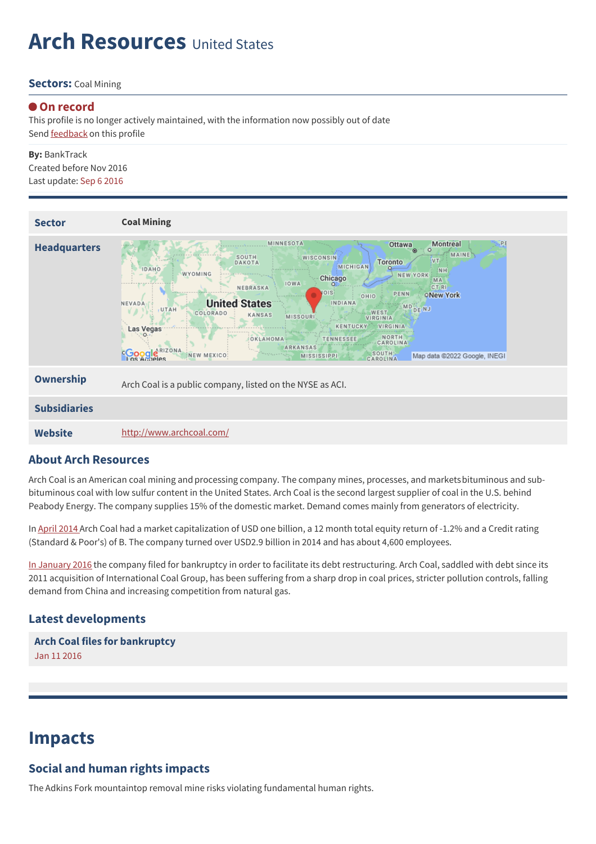# **Arch Resources** United States

#### **Sectors:** Coal Mining

#### **On record**

This profile is no longer actively maintained, with the information now possibly out of date Send **[feedback](https://www.banktrack.org/feedback/companyprofile/arch_coal)** on this profile

**By:** BankTrack Created before Nov 2016 Last update: Sep 6 2016

| <b>Sector</b>       | <b>Coal Mining</b>                                                                                                                                                                                                                                                                                                                                                                                                                                                                                                                                                                                                                                                                                            |
|---------------------|---------------------------------------------------------------------------------------------------------------------------------------------------------------------------------------------------------------------------------------------------------------------------------------------------------------------------------------------------------------------------------------------------------------------------------------------------------------------------------------------------------------------------------------------------------------------------------------------------------------------------------------------------------------------------------------------------------------|
| <b>Headquarters</b> | MINNESOTA<br><b>PI</b><br>Montreal<br>Ottawa<br>$\circ$<br>$\circ$<br><b>MAINE</b><br>SOUTH<br>WISCONSIN<br><b>VT</b><br><b>Toronto</b><br>DAKOTA<br>MICHIGAN<br><b>IDAHO</b><br><b>NH</b><br>WYOMING<br><b>NEW YORK</b><br>Chicago<br>MA<br><b>IOWA</b><br><b>CT RI</b><br>NEBRASKA<br>OIS<br>PENN<br><b>ONew York</b><br>OHIO<br><b>United States</b><br>INDIANA<br>NEVADA<br>MD <sub>DENJ</sub><br>UTAH<br>WEST.<br>COLORADO<br>KANSAS<br><b>MISSOURI</b><br><b>VIRGINIA</b><br>VIRGINIA<br>KENTUCKY<br>Las Vegas<br>NORTH<br>OKLAHOMA<br><b>TENNESSEE</b><br>CAROLINA<br><b>ARKANSAS</b><br><b>Coogle</b> RIZONA<br>SOUTH<br>CAROLINA<br>NEW MEXICO<br>Map data @2022 Google, INEGI<br><b>MISSISSIPPI</b> |
| <b>Ownership</b>    | Arch Coal is a public company, listed on the NYSE as ACI.                                                                                                                                                                                                                                                                                                                                                                                                                                                                                                                                                                                                                                                     |
| <b>Subsidiaries</b> |                                                                                                                                                                                                                                                                                                                                                                                                                                                                                                                                                                                                                                                                                                               |
| <b>Website</b>      | http://www.archcoal.com/                                                                                                                                                                                                                                                                                                                                                                                                                                                                                                                                                                                                                                                                                      |

#### **About Arch Resources**

Arch Coal is an American coal mining and processing company. The company mines, processes, and marketsbituminous and subbituminous coal with low sulfur content in the United States. Arch Coal is the second largest supplier of coal in the U.S. behind Peabody Energy. The company supplies 15% of the domestic market. Demand comes mainly from generators of electricity.

In April [2014](http://ran.org/sites/default/files/ran_extreme_investments_2014.pdf) Arch Coal had a market capitalization of USD one billion, a 12 month total equity return of -1.2% and a Credit rating (Standard & Poor's) of B. The company turned over USD2.9 billion in 2014 and has about 4,600 employees.

In [January](http://www.reuters.com/article/us-arch-coal-restructuring-idUSKCN0UP0MR20160111) 2016 the company filed for bankruptcy in order to facilitate its debt restructuring. Arch Coal, saddled with debt since its 2011 acquisition of International Coal Group, has been suffering from a sharp drop in coal prices, stricter pollution controls, falling demand from China and increasing competition from natural gas.

### **Latest developments**

**Arch Coal files for [bankruptcy](javascript:void(0))** Jan 11 2016

## **Impacts**

### **Social and human rights impacts**

The Adkins Fork mountaintop removal mine risks violating fundamental human rights.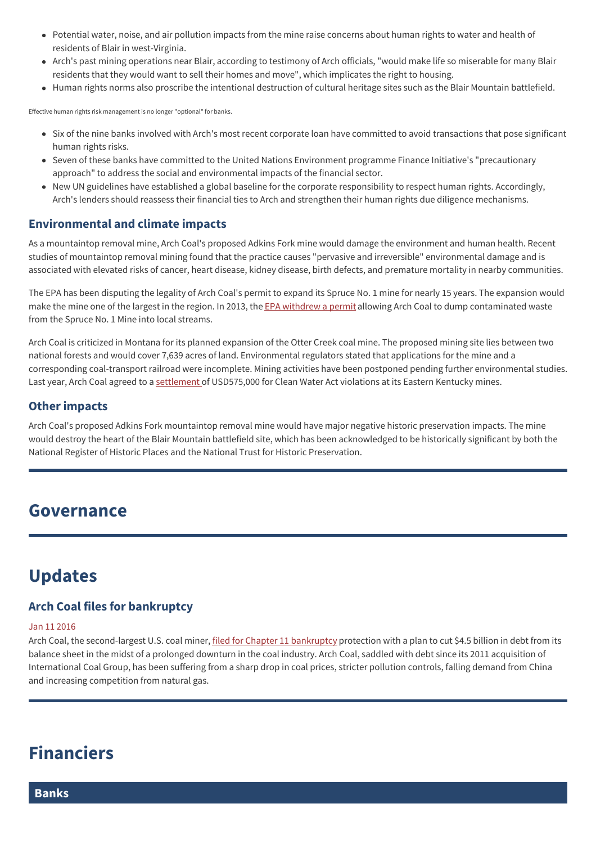- Potential water, noise, and air pollution impacts from the mine raise concerns about human rights to water and health of residents of Blair in west-Virginia.
- Arch's past mining operations near Blair, according to testimony of Arch officials, "would make life so miserable for many Blair residents that they would want to sell their homes and move", which implicates the right to housing.
- Human rights norms also proscribe the intentional destruction of cultural heritage sites such as the Blair Mountain battlefield.

Effective human rights risk management is no longer "optional" for banks.

- Six of the nine banks involved with Arch's most recent corporate loan have committed to avoid transactions that pose significant human rights risks.
- Seven of these banks have committed to the United Nations Environment programme Finance Initiative's "precautionary approach" to address the social and environmental impacts of the financial sector.
- New UN guidelines have established a global baseline for the corporate responsibility to respect human rights. Accordingly, Arch's lenders should reassess their financial ties to Arch and strengthen their human rights due diligence mechanisms.

#### **Environmental and climate impacts**

As a mountaintop removal mine, Arch Coal's proposed Adkins Fork mine would damage the environment and human health. Recent studies of mountaintop removal mining found that the practice causes "pervasive and irreversible" environmental damage and is associated with elevated risks of cancer, heart disease, kidney disease, birth defects, and premature mortality in nearby communities.

The EPA has been disputing the legality of Arch Coal's permit to expand its Spruce No. 1 mine for nearly 15 years. The expansion would make the mine one of the largest in the region. In 2013, the EPA [withdrew](https://www.banktrack.org/company/download/dirty_profits_ii/dirty_profits_ii.pdf) a permit allowing Arch Coal to dump contaminated waste from the Spruce No. 1 Mine into local streams.

Arch Coal is criticized in Montana for its planned expansion of the Otter Creek coal mine. The proposed mining site lies between two national forests and would cover 7,639 acres of land. Environmental regulators stated that applications for the mine and a corresponding coal-transport railroad were incomplete. Mining activities have been postponed pending further environmental studies. Last year, Arch Coal agreed to a [settlement](https://www.banktrack.org/company/download/dirty_profits_ii/dirty_profits_ii.pdf) of USD575,000 for Clean Water Act violations at its Eastern Kentucky mines.

#### **Other impacts**

Arch Coal's proposed Adkins Fork mountaintop removal mine would have major negative historic preservation impacts. The mine would destroy the heart of the Blair Mountain battlefield site, which has been acknowledged to be historically significant by both the National Register of Historic Places and the National Trust for Historic Preservation.

### **Governance**

## **Updates**

### **Arch Coal files for bankruptcy**

#### Jan 11 2016

Arch Coal, the second-largest U.S. coal miner, filed for Chapter 11 [bankruptcy](http://www.reuters.com/article/us-arch-coal-restructuring-idUSKCN0UP0MR20160111) protection with a plan to cut \$4.5 billion in debt from its balance sheet in the midst of a prolonged downturn in the coal industry. Arch Coal, saddled with debt since its 2011 acquisition of International Coal Group, has been suffering from a sharp drop in coal prices, stricter pollution controls, falling demand from China and increasing competition from natural gas.

## **Financiers**

**Banks**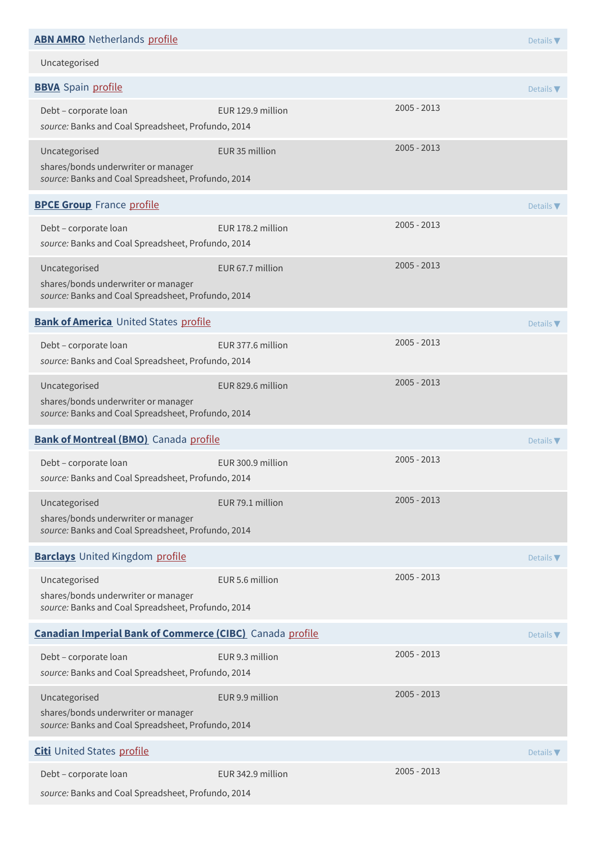### **ABN [AMRO](http://www.abnamro.nl/en/index.html)** Netherlands [profile](https://www.banktrack.org/bank/abn_amro) Details **ABN AMRO** Netherlands **Profile** Details **ABN AMRO** Netails **T**

Uncategorised

| <b>BBVA</b> Spain profile                                                                                  |                   |               | Details $\blacktriangledown$ |
|------------------------------------------------------------------------------------------------------------|-------------------|---------------|------------------------------|
| Debt - corporate loan<br>source: Banks and Coal Spreadsheet, Profundo, 2014                                | EUR 129.9 million | $2005 - 2013$ |                              |
| Uncategorised<br>shares/bonds underwriter or manager<br>source: Banks and Coal Spreadsheet, Profundo, 2014 | EUR 35 million    | $2005 - 2013$ |                              |
| <b>BPCE Group</b> France profile                                                                           |                   |               | Details $\nabla$             |
| Debt - corporate loan<br>source: Banks and Coal Spreadsheet, Profundo, 2014                                | EUR 178.2 million | 2005 - 2013   |                              |
| Uncategorised<br>shares/bonds underwriter or manager<br>source: Banks and Coal Spreadsheet, Profundo, 2014 | EUR 67.7 million  | 2005 - 2013   |                              |
| <b>Bank of America</b> United States profile                                                               |                   |               | Details $\nabla$             |
| Debt - corporate loan<br>source: Banks and Coal Spreadsheet, Profundo, 2014                                | EUR 377.6 million | 2005 - 2013   |                              |
| Uncategorised<br>shares/bonds underwriter or manager<br>source: Banks and Coal Spreadsheet, Profundo, 2014 | EUR 829.6 million | $2005 - 2013$ |                              |
| <b>Bank of Montreal (BMO)</b> Canada profile                                                               |                   |               | Details $\nabla$             |
| Debt - corporate loan<br>source: Banks and Coal Spreadsheet, Profundo, 2014                                | EUR 300.9 million | 2005 - 2013   |                              |
| Uncategorised<br>shares/bonds underwriter or manager<br>source: Banks and Coal Spreadsheet, Profundo, 2014 | EUR 79.1 million  | 2005 - 2013   |                              |
| <b>Barclays</b> United Kingdom profile                                                                     |                   |               | Details $\nabla$             |
| Uncategorised<br>shares/bonds underwriter or manager<br>source: Banks and Coal Spreadsheet, Profundo, 2014 | EUR 5.6 million   | 2005 - 2013   |                              |
| <b>Canadian Imperial Bank of Commerce (CIBC)</b> Canada profile                                            |                   |               | Details $\nabla$             |
| Debt - corporate loan<br>source: Banks and Coal Spreadsheet, Profundo, 2014                                | EUR 9.3 million   | $2005 - 2013$ |                              |
| Uncategorised<br>shares/bonds underwriter or manager<br>source: Banks and Coal Spreadsheet, Profundo, 2014 | EUR 9.9 million   | 2005 - 2013   |                              |
| <b>Citi</b> United States profile                                                                          |                   |               | Details $\nabla$             |
| Debt - corporate loan<br>source: Banks and Coal Spreadsheet, Profundo, 2014                                | EUR 342.9 million | 2005 - 2013   |                              |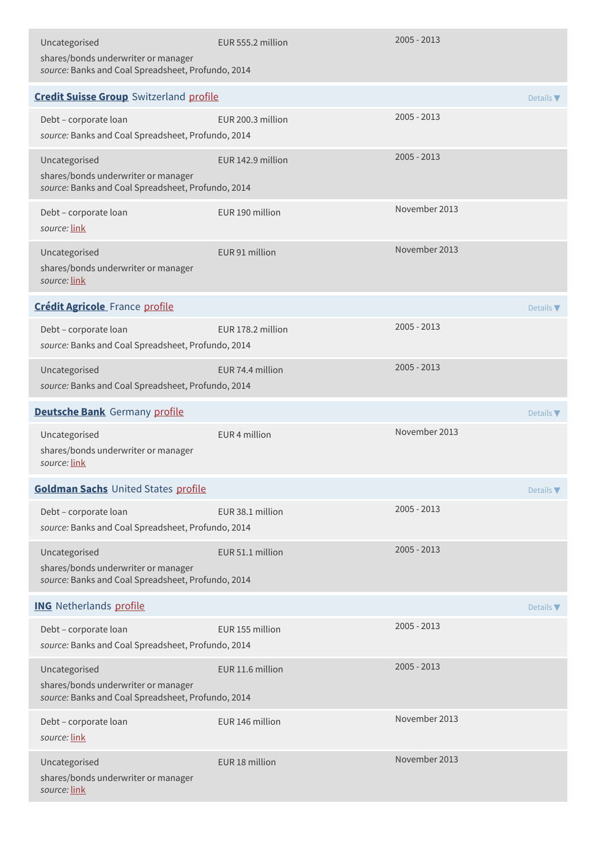| Uncategorised<br>shares/bonds underwriter or manager<br>source: Banks and Coal Spreadsheet, Profundo, 2014 | EUR 555.2 million | $2005 - 2013$ |                              |
|------------------------------------------------------------------------------------------------------------|-------------------|---------------|------------------------------|
| <b>Credit Suisse Group</b> Switzerland profile                                                             |                   |               | Details $\blacktriangledown$ |
| Debt - corporate loan<br>source: Banks and Coal Spreadsheet, Profundo, 2014                                | EUR 200.3 million | $2005 - 2013$ |                              |
| Uncategorised<br>shares/bonds underwriter or manager<br>source: Banks and Coal Spreadsheet, Profundo, 2014 | EUR 142.9 million | $2005 - 2013$ |                              |
| Debt - corporate loan<br>source: link                                                                      | EUR 190 million   | November 2013 |                              |
| Uncategorised<br>shares/bonds underwriter or manager<br>source: link                                       | EUR 91 million    | November 2013 |                              |
| <b>Crédit Agricole</b> France profile                                                                      |                   |               | Details $\blacktriangledown$ |
| Debt - corporate loan<br>source: Banks and Coal Spreadsheet, Profundo, 2014                                | EUR 178.2 million | $2005 - 2013$ |                              |
| Uncategorised<br>source: Banks and Coal Spreadsheet, Profundo, 2014                                        | EUR 74.4 million  | $2005 - 2013$ |                              |
| <b>Deutsche Bank</b> Germany profile                                                                       |                   |               | Details $\nabla$             |
| Uncategorised<br>shares/bonds underwriter or manager<br>source: link                                       | EUR 4 million     | November 2013 |                              |
| <b>Goldman Sachs United States profile</b>                                                                 |                   |               | Details <b>V</b>             |
| Debt - corporate loan<br>source: Banks and Coal Spreadsheet, Profundo, 2014                                | EUR 38.1 million  | $2005 - 2013$ |                              |
| Uncategorised<br>shares/bonds underwriter or manager<br>source: Banks and Coal Spreadsheet, Profundo, 2014 | EUR 51.1 million  | $2005 - 2013$ |                              |
| <b>ING</b> Netherlands profile                                                                             |                   |               | Details $\nabla$             |
| Debt - corporate loan<br>source: Banks and Coal Spreadsheet, Profundo, 2014                                | EUR 155 million   | $2005 - 2013$ |                              |
| Uncategorised<br>shares/bonds underwriter or manager<br>source: Banks and Coal Spreadsheet, Profundo, 2014 | EUR 11.6 million  | $2005 - 2013$ |                              |
| Debt - corporate loan<br>source: link                                                                      | EUR 146 million   | November 2013 |                              |
| Uncategorised<br>shares/bonds underwriter or manager<br>source: link                                       | EUR 18 million    | November 2013 |                              |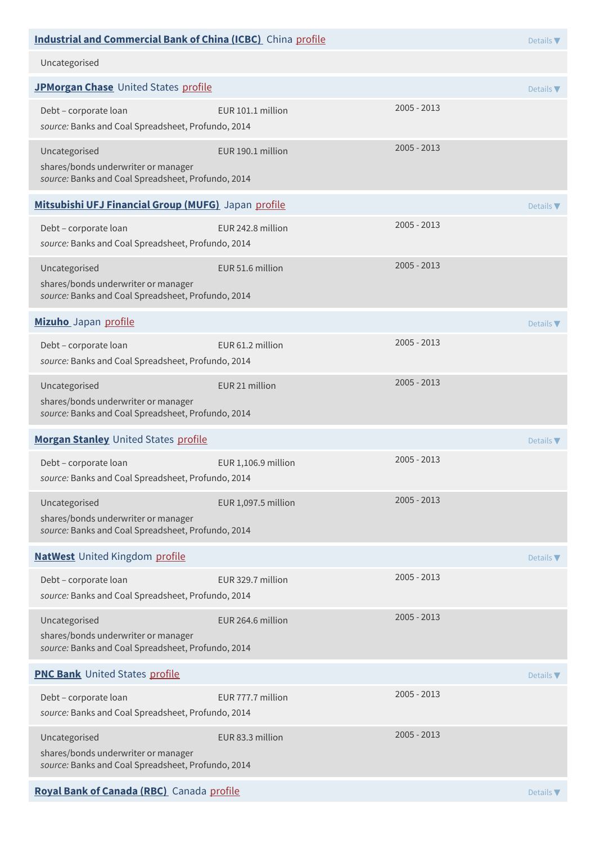| <b>Industrial and Commercial Bank of China (ICBC)</b> China profile                                        |                     | Details $\blacktriangledown$ |                              |
|------------------------------------------------------------------------------------------------------------|---------------------|------------------------------|------------------------------|
| Uncategorised                                                                                              |                     |                              |                              |
| JPMorgan Chase United States profile                                                                       |                     |                              | Details $\blacktriangledown$ |
| Debt - corporate loan<br>source: Banks and Coal Spreadsheet, Profundo, 2014                                | EUR 101.1 million   | $2005 - 2013$                |                              |
| Uncategorised<br>shares/bonds underwriter or manager<br>source: Banks and Coal Spreadsheet, Profundo, 2014 | EUR 190.1 million   | 2005 - 2013                  |                              |
| Mitsubishi UFJ Financial Group (MUFG) Japan profile                                                        |                     |                              | Details $\nabla$             |
| Debt - corporate loan<br>source: Banks and Coal Spreadsheet, Profundo, 2014                                | EUR 242.8 million   | $2005 - 2013$                |                              |
| Uncategorised<br>shares/bonds underwriter or manager<br>source: Banks and Coal Spreadsheet, Profundo, 2014 | EUR 51.6 million    | $2005 - 2013$                |                              |
| Mizuho Japan profile                                                                                       |                     |                              | Details $\nabla$             |
| Debt - corporate loan<br>source: Banks and Coal Spreadsheet, Profundo, 2014                                | EUR 61.2 million    | $2005 - 2013$                |                              |
| Uncategorised<br>shares/bonds underwriter or manager<br>source: Banks and Coal Spreadsheet, Profundo, 2014 | EUR 21 million      | 2005 - 2013                  |                              |
| Morgan Stanley United States profile                                                                       |                     |                              | Details $\nabla$             |
| Debt - corporate loan<br>source: Banks and Coal Spreadsheet, Profundo, 2014                                | EUR 1,106.9 million | $2005 - 2013$                |                              |
| Uncategorised<br>shares/bonds underwriter or manager<br>source: Banks and Coal Spreadsheet, Profundo, 2014 | EUR 1,097.5 million | 2005 - 2013                  |                              |
| <b>NatWest</b> United Kingdom profile                                                                      |                     |                              | Details $\nabla$             |
| Debt - corporate loan<br>source: Banks and Coal Spreadsheet, Profundo, 2014                                | EUR 329.7 million   | $2005 - 2013$                |                              |
| Uncategorised<br>shares/bonds underwriter or manager<br>source: Banks and Coal Spreadsheet, Profundo, 2014 | EUR 264.6 million   | 2005 - 2013                  |                              |
| <b>PNC Bank</b> United States profile                                                                      |                     |                              | Details $\nabla$             |
| Debt - corporate loan<br>source: Banks and Coal Spreadsheet, Profundo, 2014                                | EUR 777.7 million   | $2005 - 2013$                |                              |
| Uncategorised<br>shares/bonds underwriter or manager<br>source: Banks and Coal Spreadsheet, Profundo, 2014 | EUR 83.3 million    | $2005 - 2013$                |                              |
| Royal Bank of Canada (RBC) Canada profile                                                                  |                     |                              | Details V                    |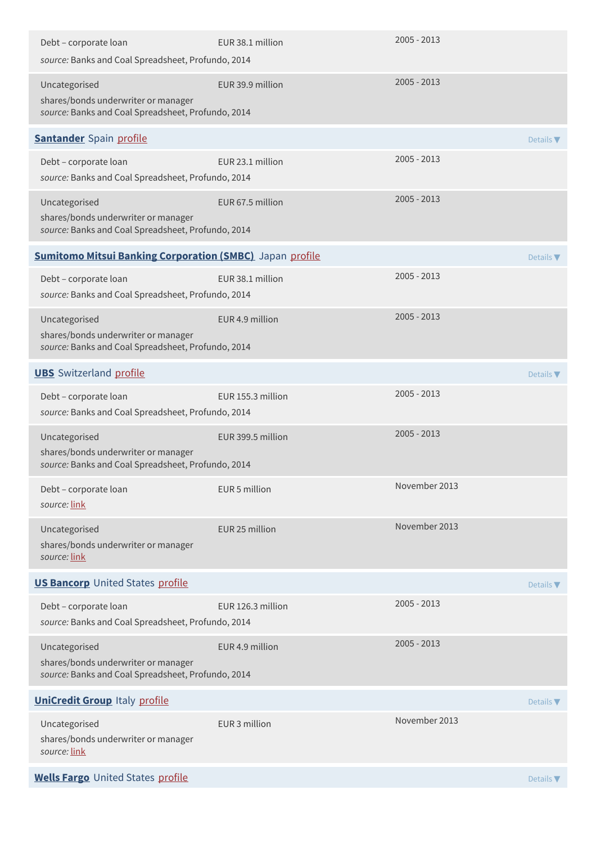| Debt - corporate loan<br>source: Banks and Coal Spreadsheet, Profundo, 2014                                | EUR 38.1 million  | $2005 - 2013$ |                              |
|------------------------------------------------------------------------------------------------------------|-------------------|---------------|------------------------------|
| Uncategorised<br>shares/bonds underwriter or manager<br>source: Banks and Coal Spreadsheet, Profundo, 2014 | EUR 39.9 million  | $2005 - 2013$ |                              |
| <b>Santander</b> Spain profile                                                                             |                   |               | Details $\blacktriangledown$ |
| Debt - corporate loan<br>source: Banks and Coal Spreadsheet, Profundo, 2014                                | EUR 23.1 million  | $2005 - 2013$ |                              |
| Uncategorised<br>shares/bonds underwriter or manager<br>source: Banks and Coal Spreadsheet, Profundo, 2014 | EUR 67.5 million  | $2005 - 2013$ |                              |
| <b>Sumitomo Mitsui Banking Corporation (SMBC)</b> Japan profile                                            |                   |               | Details $\blacktriangledown$ |
| Debt - corporate loan<br>source: Banks and Coal Spreadsheet, Profundo, 2014                                | EUR 38.1 million  | $2005 - 2013$ |                              |
| Uncategorised<br>shares/bonds underwriter or manager<br>source: Banks and Coal Spreadsheet, Profundo, 2014 | EUR 4.9 million   | $2005 - 2013$ |                              |
| <b>UBS</b> Switzerland profile                                                                             |                   |               | Details $\nabla$             |
| Debt - corporate loan<br>source: Banks and Coal Spreadsheet, Profundo, 2014                                | EUR 155.3 million | $2005 - 2013$ |                              |
| Uncategorised<br>shares/bonds underwriter or manager<br>source: Banks and Coal Spreadsheet, Profundo, 2014 | EUR 399.5 million | $2005 - 2013$ |                              |
| Debt - corporate loan<br>source: link                                                                      | EUR 5 million     | November 2013 |                              |
| Uncategorised<br>shares/bonds underwriter or manager<br>source: link                                       | EUR 25 million    | November 2013 |                              |
| <b>US Bancorp</b> United States profile                                                                    |                   |               | Details $\nabla$             |
| Debt - corporate loan<br>source: Banks and Coal Spreadsheet, Profundo, 2014                                | EUR 126.3 million | $2005 - 2013$ |                              |
| Uncategorised<br>shares/bonds underwriter or manager<br>source: Banks and Coal Spreadsheet, Profundo, 2014 | EUR 4.9 million   | $2005 - 2013$ |                              |
| <b>UniCredit Group Italy profile</b>                                                                       |                   |               | Details $\blacktriangledown$ |
| Uncategorised<br>shares/bonds underwriter or manager<br>source: link                                       | EUR 3 million     | November 2013 |                              |
| <b>Wells Fargo</b> United States profile                                                                   |                   |               | Details $\nabla$             |